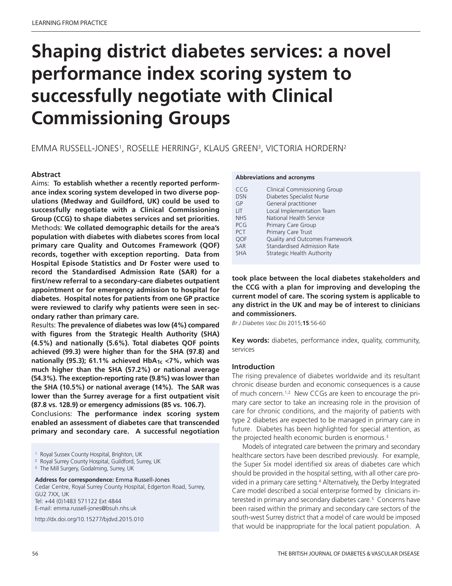# **Shaping district diabetes services: a novel performance index scoring system to successfully negotiate with Clinical Commissioning Groups**

## EMMA RUSSELL-JONES1, ROSELLE HERRING2, KLAUS GREEN3, VICTORIA HORDERN2

#### **Abstract**

Aims: **To establish whether a recently reported performance index scoring system developed in two diverse populations (Medway and Guildford, UK) could be used to successfully negotiate with a Clinical Commissioning Group (CCG) to shape diabetes services and set priorities.** Methods: **We collated demographic details for the area's population with diabetes with diabetes scores from local primary care Quality and Outcomes Framework (QOF) records, together with exception reporting. Data from Hospital Episode Statistics and Dr Foster were used to record the Standardised Admission Rate (SAR) for a first/new referral to a secondary-care diabetes outpatient appointment or for emergency admission to hospital for diabetes. Hospital notes for patients from one GP practice were reviewed to clarify why patients were seen in secondary rather than primary care.**

Results: **The prevalence of diabetes was low (4%) compared with figures from the Strategic Health Authority (SHA) (4.5%) and nationally (5.6%). Total diabetes QOF points achieved (99.3) were higher than for the SHA (97.8) and nationally (95.3); 61.1% achieved HbA1c <7%, which was much higher than the SHA (57.2%) or national average (54.3%). The exception-reporting rate (9.8%) was lower than the SHA (10.5%) or national average (14%). The SAR was lower than the Surrey average for a first outpatient visit (87.8 vs. 128.9) or emergency admissions (85 vs. 106.7).**

Conclusions: **The performance index scoring system enabled an assessment of diabetes care that transcended primary and secondary care. A successful negotiation**

<sup>3</sup> The Mill Surgery, Godalming, Surrey, UK

#### **Address for correspondence:** Emma Russell-Jones

Cedar Centre, Royal Surrey County Hospital, Edgerton Road, Surrey, GU2 7XX, UK Tel: +44 (0)1483 571122 Ext 4844 E-mail: emma.russell-jones@bsuh.nhs.uk

http://dx.doi.org/10.15277/bjdvd.2015.010

#### **Abbreviations and acronyms**

| CCG        | <b>Clinical Commissioning Group</b> |
|------------|-------------------------------------|
| <b>DSN</b> | Diabetes Specialist Nurse           |
| GP         | General practitioner                |
| <b>LIT</b> | Local Implementation Team           |
| <b>NHS</b> | National Health Service             |
| <b>PCG</b> | Primary Care Group                  |
| <b>PCT</b> | Primary Care Trust                  |
| <b>OOF</b> | Quality and Outcomes Framework      |
| SAR        | <b>Standardised Admission Rate</b>  |
| <b>SHA</b> | Strategic Health Authority          |

**took place between the local diabetes stakeholders and the CCG with a plan for improving and developing the current model of care. The scoring system is applicable to any district in the UK and may be of interest to clinicians and commissioners.**

*Br J Diabetes Vasc Dis* 2015;**15**:56-60

**Key words:** diabetes, performance index, quality, community, services

#### **Introduction**

The rising prevalence of diabetes worldwide and its resultant chronic disease burden and economic consequences is a cause of much concern. 1,2 New CCGs are keen to encourage the primary care sector to take an increasing role in the provision of care for chronic conditions, and the majority of patients with type 2 diabetes are expected to be managed in primary care in future. Diabetes has been highlighted for special attention, as the projected health economic burden is enormous. 3

Models of integrated care between the primary and secondary healthcare sectors have been described previously. For example, the Super Six model identified six areas of diabetes care which should be provided in the hospital setting, with all other care provided in a primary care setting. <sup>4</sup> Alternatively, the Derby Integrated Care model described a social enterprise formed by clinicians interested in primary and secondary diabetes care. <sup>5</sup> Concerns have been raised within the primary and secondary care sectors of the south-west Surrey district that a model of care would be imposed that would be inappropriate for the local patient population. A

<sup>&</sup>lt;sup>1</sup> Royal Sussex County Hospital, Brighton, UK

<sup>2</sup> Royal Surrey County Hospital, Guildford, Surrey, UK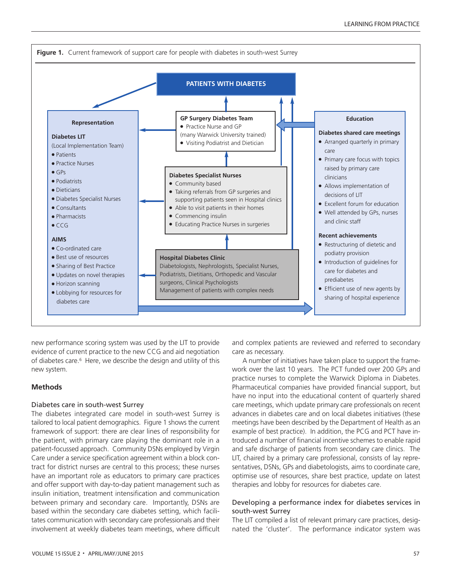

new performance scoring system was used by the LIT to provide evidence of current practice to the new CCG and aid negotiation of diabetes care. <sup>6</sup> Here, we describe the design and utility of this new system.

#### **Methods**

#### Diabetes care in south-west Surrey

The diabetes integrated care model in south-west Surrey is tailored to local patient demographics. Figure 1 shows the current framework of support: there are clear lines of responsibility for the patient, with primary care playing the dominant role in a patient-focussed approach. Community DSNs employed by Virgin Care under a service specification agreement within a block contract for district nurses are central to this process; these nurses have an important role as educators to primary care practices and offer support with day-to-day patient management such as insulin initiation, treatment intensification and communication between primary and secondary care. Importantly, DSNs are based within the secondary care diabetes setting, which facilitates communication with secondary care professionals and their involvement at weekly diabetes team meetings, where difficult and complex patients are reviewed and referred to secondary care as necessary.

A number of initiatives have taken place to support the framework over the last 10 years. The PCT funded over 200 GPs and practice nurses to complete the Warwick Diploma in Diabetes. Pharmaceutical companies have provided financial support, but have no input into the educational content of quarterly shared care meetings, which update primary care professionals on recent advances in diabetes care and on local diabetes initiatives (these meetings have been described by the Department of Health as an example of best practice). In addition, the PCG and PCT have introduced a number of financial incentive schemes to enable rapid and safe discharge of patients from secondary care clinics. The LIT, chaired by a primary care professional, consists of lay representatives, DSNs, GPs and diabetologists, aims to coordinate care, optimise use of resources, share best practice, update on latest therapies and lobby for resources for diabetes care.

#### Developing a performance index for diabetes services in south-west Surrey

The LIT compiled a list of relevant primary care practices, designated the 'cluster'. The performance indicator system was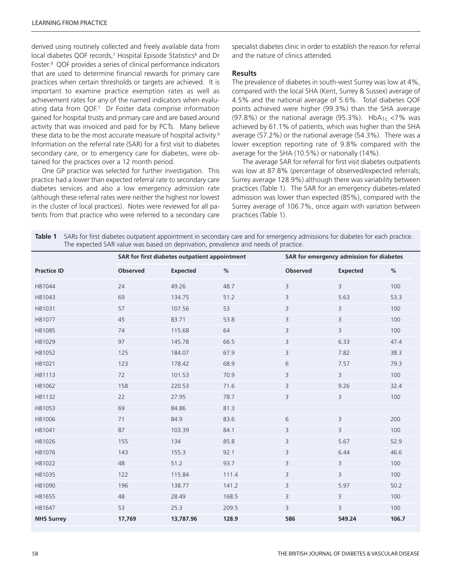derived using routinely collected and freely available data from local diabetes QOF records,<sup>7</sup> Hospital Episode Statistics<sup>8</sup> and Dr Foster. <sup>9</sup> QOF provides a series of clinical performance indicators that are used to determine financial rewards for primary care practices when certain thresholds or targets are achieved. It is important to examine practice exemption rates as well as achievement rates for any of the named indicators when evaluating data from QOF.7 Dr Foster data comprise information gained for hospital trusts and primary care and are based around activity that was invoiced and paid for by PCTs. Many believe these data to be the most accurate measure of hospital activity. 9 Information on the referral rate (SAR) for a first visit to diabetes secondary care, or to emergency care for diabetes, were obtained for the practices over a 12 month period.

One GP practice was selected for further investigation. This practice had a lower than expected referral rate to secondary care diabetes services and also a low emergency admission rate (although these referral rates were neither the highest nor lowest in the cluster of local practices). Notes were reviewed for all patients from that practice who were referred to a secondary care

specialist diabetes clinic in order to establish the reason for referral and the nature of clinics attended.

#### **Results**

The prevalence of diabetes in south-west Surrey was low at 4%, compared with the local SHA (Kent, Surrey & Sussex) average of 4.5% and the national average of 5.6%. Total diabetes QOF points achieved were higher (99.3%) than the SHA average (97.8%) or the national average (95.3%).  $HbA_{1c}$  <7% was achieved by 61.1% of patients, which was higher than the SHA average (57.2%) or the national average (54.3%). There was a lower exception reporting rate of 9.8% compared with the average for the SHA (10.5%) or nationally (14%).

The average SAR for referral for first visit diabetes outpatients was low at 87.8% (percentage of observed/expected referrals; Surrey average 128.9%) although there was variability between practices (Table 1). The SAR for an emergency diabetes-related admission was lower than expected (85%), compared with the Surrey average of 106.7%, once again with variation between practices (Table 1).

| Table 1 SARs for first diabetes outpatient appointment in secondary care and for emergency admissions for diabetes for each practice. |
|---------------------------------------------------------------------------------------------------------------------------------------|
| The expected SAR value was based on deprivation, prevalence and needs of practice.                                                    |

|                    | SAR for first diabetes outpatient appointment |                 |       | SAR for emergency admission for diabetes |                 |       |
|--------------------|-----------------------------------------------|-----------------|-------|------------------------------------------|-----------------|-------|
| <b>Practice ID</b> | Observed                                      | <b>Expected</b> | $\%$  | Observed                                 | <b>Expected</b> | $\%$  |
| H81044             | 24                                            | 49.26           | 48.7  | 3                                        | 3               | 100   |
| H81043             | 69                                            | 134.75          | 51.2  | 3                                        | 5.63            | 53.3  |
| H81031             | 57                                            | 107.56          | 53    | 3                                        | 3               | 100   |
| H81077             | 45                                            | 83.71           | 53.8  | 3                                        | 3               | 100   |
| H81085             | 74                                            | 115.68          | 64    | 3                                        | 3               | 100   |
| H81029             | 97                                            | 145.78          | 66.5  | 3                                        | 6.33            | 47.4  |
| H81052             | 125                                           | 184.07          | 67.9  | 3                                        | 7.82            | 38.3  |
| H81021             | 123                                           | 178.42          | 68.9  | 6                                        | 7.57            | 79.3  |
| H81113             | 72                                            | 101.53          | 70.9  | 3                                        | $\overline{3}$  | 100   |
| H81062             | 158                                           | 220.53          | 71.6  | 3                                        | 9.26            | 32.4  |
| H81132             | 22                                            | 27.95           | 78.7  | 3                                        | 3               | 100   |
| H81053             | 69                                            | 84.86           | 81.3  |                                          |                 |       |
| H81006             | 71                                            | 84.9            | 83.6  | 6                                        | 3               | 200   |
| H81041             | 87                                            | 103.39          | 84.1  | 3                                        | 3               | 100   |
| H81026             | 155                                           | 134             | 85.8  | 3                                        | 5.67            | 52.9  |
| H81076             | 143                                           | 155.3           | 92.1  | 3                                        | 6.44            | 46.6  |
| H81022             | 48                                            | 51.2            | 93.7  | 3                                        | 3               | 100   |
| H81035             | 122                                           | 115.84          | 111.4 | 3                                        | 3               | 100   |
| H81090             | 196                                           | 138.77          | 141.2 | $\mathsf 3$                              | 5.97            | 50.2  |
| H81655             | 48                                            | 28.49           | 168.5 | 3                                        | 3               | 100   |
| H81647             | 53                                            | 25.3            | 209.5 | 3                                        | 3               | 100   |
| <b>NHS Surrey</b>  | 17,769                                        | 13,787.96       | 128.9 | 586                                      | 549.24          | 106.7 |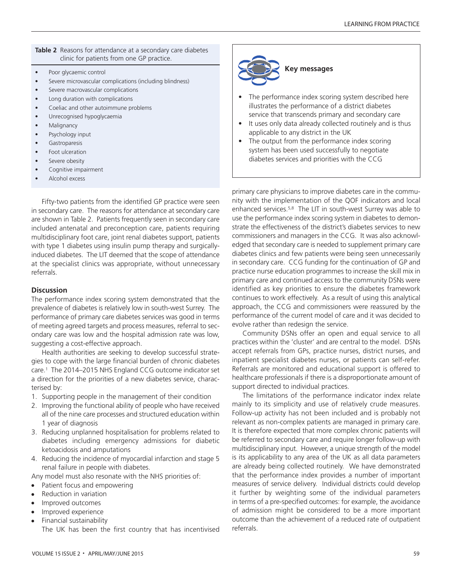#### **Table 2** Reasons for attendance at a secondary care diabetes clinic for patients from one GP practice.

- Poor glycaemic control
- Severe microvascular complications (including blindness)
- Severe macrovascular complications
- Long duration with complications
- Coeliac and other autoimmune problems
- Unrecognised hypoglycaemia
- **Malignancy**
- Psychology input
- **Gastroparesis**
- Foot ulceration
- Severe obesity
- Cognitive impairment
- Alcohol excess

Fifty-two patients from the identified GP practice were seen in secondary care. The reasons for attendance at secondary care are shown in Table 2. Patients frequently seen in secondary care included antenatal and preconception care, patients requiring multidisciplinary foot care, joint renal diabetes support, patients with type 1 diabetes using insulin pump therapy and surgicallyinduced diabetes. The LIT deemed that the scope of attendance at the specialist clinics was appropriate, without unnecessary referrals.

#### **Discussion**

The performance index scoring system demonstrated that the prevalence of diabetes is relatively low in south-west Surrey. The performance of primary care diabetes services was good in terms of meeting agreed targets and process measures, referral to secondary care was low and the hospital admission rate was low, suggesting a cost-effective approach.

Health authorities are seeking to develop successful strategies to cope with the large financial burden of chronic diabetes care. <sup>1</sup> The 2014–2015 NHS England CCG outcome indicator set a direction for the priorities of a new diabetes service, characterised by:

- 1. Supporting people in the management of their condition
- 2. Improving the functional ability of people who have received all of the nine care processes and structured education within 1 year of diagnosis
- 3. Reducing unplanned hospitalisation for problems related to diabetes including emergency admissions for diabetic ketoacidosis and amputations
- 4. Reducing the incidence of myocardial infarction and stage 5 renal failure in people with diabetes.

Any model must also resonate with the NHS priorities of:

- Patient focus and empowering
- Reduction in variation
- <sup>l</sup> Improved outcomes
- Improved experience
- Financial sustainability

The UK has been the first country that has incentivised



- The performance index scoring system described here illustrates the performance of a district diabetes service that transcends primary and secondary care
- It uses only data already collected routinely and is thus applicable to any district in the UK
- The output from the performance index scoring system has been used successfully to negotiate diabetes services and priorities with the CCG

primary care physicians to improve diabetes care in the community with the implementation of the QOF indicators and local enhanced services. 5,8 The LIT in south-west Surrey was able to use the performance index scoring system in diabetes to demonstrate the effectiveness of the district's diabetes services to new commissioners and managers in the CCG. It was also acknowledged that secondary care is needed to supplement primary care diabetes clinics and few patients were being seen unnecessarily in secondary care. CCG funding for the continuation of GP and practice nurse education programmes to increase the skill mix in primary care and continued access to the community DSNs were identified as key priorities to ensure the diabetes framework continues to work effectively. As a result of using this analytical approach, the CCG and commissioners were reassured by the performance of the current model of care and it was decided to evolve rather than redesign the service.

Community DSNs offer an open and equal service to all practices within the 'cluster' and are central to the model. DSNs accept referrals from GPs, practice nurses, district nurses, and inpatient specialist diabetes nurses, or patients can self-refer. Referrals are monitored and educational support is offered to healthcare professionals if there is a disproportionate amount of support directed to individual practices.

The limitations of the performance indicator index relate mainly to its simplicity and use of relatively crude measures. Follow-up activity has not been included and is probably not relevant as non-complex patients are managed in primary care. It is therefore expected that more complex chronic patients will be referred to secondary care and require longer follow-up with multidisciplinary input. However, a unique strength of the model is its applicability to any area of the UK as all data parameters are already being collected routinely. We have demonstrated that the performance index provides a number of important measures of service delivery. Individual districts could develop it further by weighting some of the individual parameters in terms of a pre-specified outcomes: for example, the avoidance of admission might be considered to be a more important outcome than the achievement of a reduced rate of outpatient referrals.